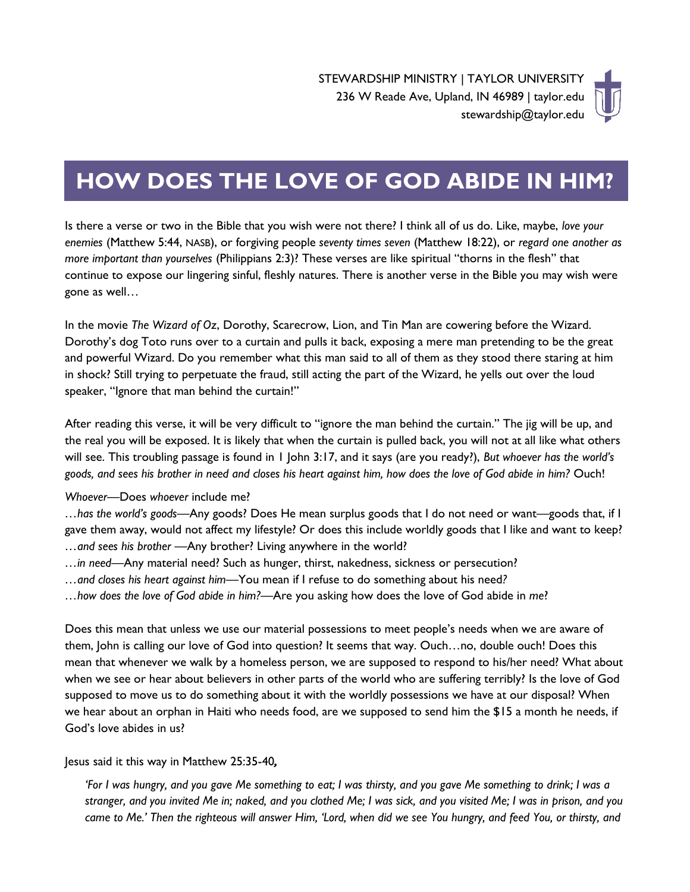

## **HOW DOES THE LOVE OF GOD ABIDE IN HIM?**

Is there a verse or two in the Bible that you wish were not there? I think all of us do. Like, maybe, *love your enemies* (Matthew 5:44, NASB), or forgiving people *seventy times seven* (Matthew 18:22), or *regard one another as more important than yourselves* (Philippians 2:3)? These verses are like spiritual "thorns in the flesh" that continue to expose our lingering sinful, fleshly natures. There is another verse in the Bible you may wish were gone as well…

In the movie *The Wizard of Oz*, Dorothy, Scarecrow, Lion, and Tin Man are cowering before the Wizard. Dorothy's dog Toto runs over to a curtain and pulls it back, exposing a mere man pretending to be the great and powerful Wizard. Do you remember what this man said to all of them as they stood there staring at him in shock? Still trying to perpetuate the fraud, still acting the part of the Wizard, he yells out over the loud speaker, "Ignore that man behind the curtain!"

After reading this verse, it will be very difficult to "ignore the man behind the curtain." The jig will be up, and the real you will be exposed. It is likely that when the curtain is pulled back, you will not at all like what others will see. This troubling passage is found in 1 John 3:17, and it says (are you ready?), *But whoever has the world's goods, and sees his brother in need and closes his heart against him, how does the love of God abide in him?* Ouch!

## *Whoever—*Does *whoever* include me?

*…has the world's goods—*Any goods? Does He mean surplus goods that I do not need or want—goods that, if I gave them away, would not affect my lifestyle? Or does this include worldly goods that I like and want to keep? *…and sees his brother —*Any brother? Living anywhere in the world?

- *…in need—*Any material need? Such as hunger, thirst, nakedness, sickness or persecution?
- *…and closes his heart against him—*You mean if I refuse to do something about his need*?*
- *…how does the love of God abide in him?—*Are you asking how does the love of God abide in *me*?

Does this mean that unless we use our material possessions to meet people's needs when we are aware of them, John is calling our love of God into question? It seems that way. Ouch…no, double ouch! Does this mean that whenever we walk by a homeless person, we are supposed to respond to his/her need? What about when we see or hear about believers in other parts of the world who are suffering terribly? Is the love of God supposed to move us to do something about it with the worldly possessions we have at our disposal? When we hear about an orphan in Haiti who needs food, are we supposed to send him the \$15 a month he needs, if God's love abides in us?

Jesus said it this way in Matthew 25:35-40*,* 

*'For I was hungry, and you gave Me something to eat; I was thirsty, and you gave Me something to drink; I was a stranger, and you invited Me in; naked, and you clothed Me; I was sick, and you visited Me; I was in prison, and you came to Me.' Then the righteous will answer Him, 'Lord, when did we see You hungry, and feed You, or thirsty, and*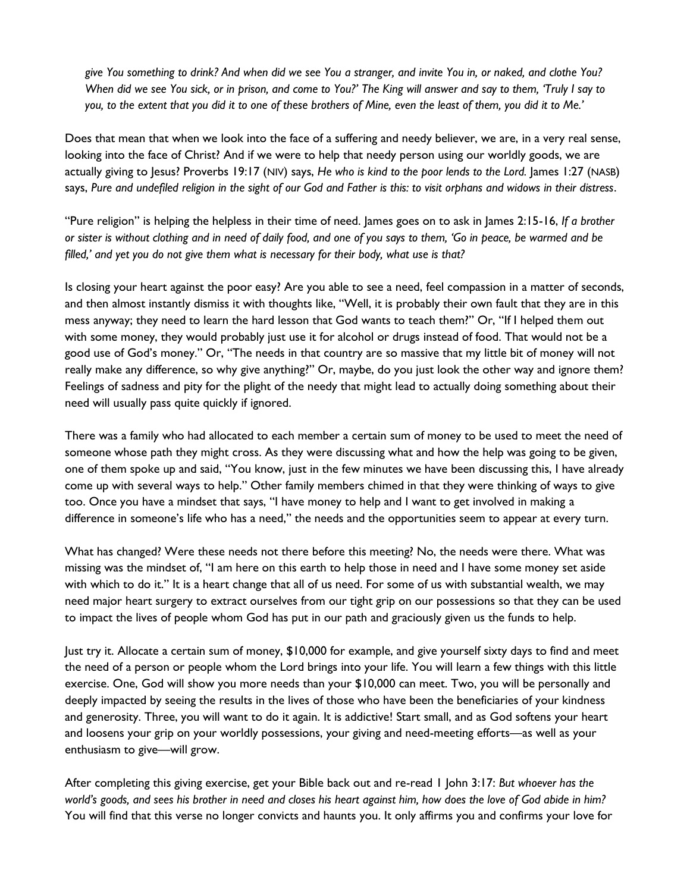*give You something to drink? And when did we see You a stranger, and invite You in, or naked, and clothe You? When did we see You sick, or in prison, and come to You?' The King will answer and say to them, 'Truly I say to you, to the extent that you did it to one of these brothers of Mine, even the least of them, you did it to Me.'*

Does that mean that when we look into the face of a suffering and needy believer, we are, in a very real sense, looking into the face of Christ? And if we were to help that needy person using our worldly goods, we are actually giving to Jesus? Proverbs 19:17 (NIV) says, *He who is kind to the poor lends to the Lord.* James 1:27 (NASB) says, *Pure and undefiled religion in the sight of our God and Father is this: to visit orphans and widows in their distress*.

"Pure religion" is helping the helpless in their time of need. James goes on to ask in James 2:15-16, *If a brother or sister is without clothing and in need of daily food, and one of you says to them, 'Go in peace, be warmed and be filled,' and yet you do not give them what is necessary for their body, what use is that?*

Is closing your heart against the poor easy? Are you able to see a need, feel compassion in a matter of seconds, and then almost instantly dismiss it with thoughts like, "Well, it is probably their own fault that they are in this mess anyway; they need to learn the hard lesson that God wants to teach them?" Or, "If I helped them out with some money, they would probably just use it for alcohol or drugs instead of food. That would not be a good use of God's money." Or, "The needs in that country are so massive that my little bit of money will not really make any difference, so why give anything?" Or, maybe, do you just look the other way and ignore them? Feelings of sadness and pity for the plight of the needy that might lead to actually doing something about their need will usually pass quite quickly if ignored.

There was a family who had allocated to each member a certain sum of money to be used to meet the need of someone whose path they might cross. As they were discussing what and how the help was going to be given, one of them spoke up and said, "You know, just in the few minutes we have been discussing this, I have already come up with several ways to help." Other family members chimed in that they were thinking of ways to give too. Once you have a mindset that says, "I have money to help and I want to get involved in making a difference in someone's life who has a need," the needs and the opportunities seem to appear at every turn.

What has changed? Were these needs not there before this meeting? No, the needs were there. What was missing was the mindset of, "I am here on this earth to help those in need and I have some money set aside with which to do it." It is a heart change that all of us need. For some of us with substantial wealth, we may need major heart surgery to extract ourselves from our tight grip on our possessions so that they can be used to impact the lives of people whom God has put in our path and graciously given us the funds to help.

Just try it. Allocate a certain sum of money, \$10,000 for example, and give yourself sixty days to find and meet the need of a person or people whom the Lord brings into your life. You will learn a few things with this little exercise. One, God will show you more needs than your \$10,000 can meet. Two, you will be personally and deeply impacted by seeing the results in the lives of those who have been the beneficiaries of your kindness and generosity. Three, you will want to do it again. It is addictive! Start small, and as God softens your heart and loosens your grip on your worldly possessions, your giving and need-meeting efforts—as well as your enthusiasm to give—will grow.

After completing this giving exercise, get your Bible back out and re-read 1 John 3:17: *But whoever has the world's goods, and sees his brother in need and closes his heart against him, how does the love of God abide in him?* You will find that this verse no longer convicts and haunts you. It only affirms you and confirms your love for